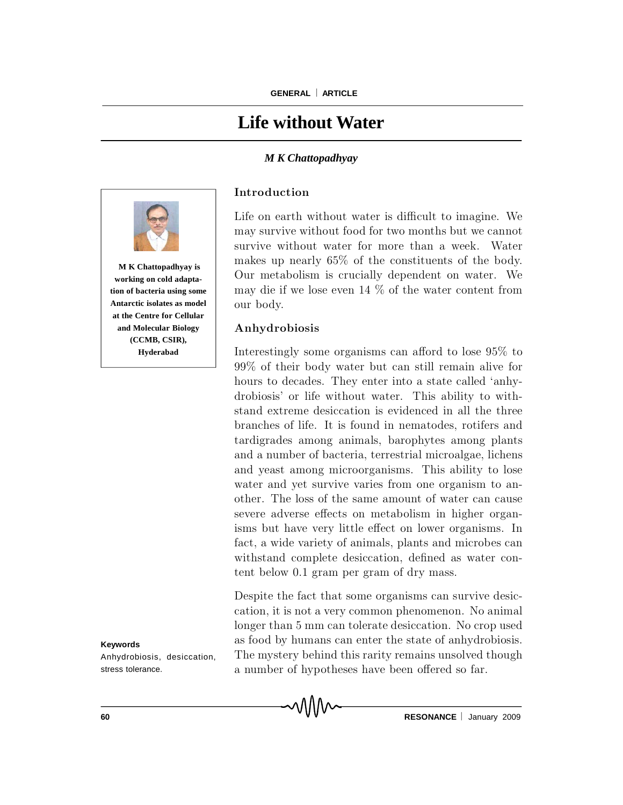# **Life without Water**

#### *M K Chattopadhyay*



**working on cold adaptation of bacteria using some Antarctic isolates as model at the Centre for Cellular and Molecular Biology (CCMB, CSIR), Hyderabad**

**Keywords**

Anhydrobiosis, desiccation, stress tolerance.

**Introduction** 

Life on earth without water is difficult to imagine. We may survive without food for two months but we cannot survive without water for more than a week. Water makes up nearly  $65\%$  of the constituents of the body. Our metabolism is crucially dependent on water. We may die if we lose even 14  $\%$  of the water content from our body.

#### Anhydrobiosis

Interestingly some organisms can afford to lose  $95\%$  to  $99\%$  of their body water but can still remain alive for hours to decades. They enter into a state called 'anhydrobiosis' or life without water. This ability to withstand extreme desiccation is evidenced in all the three branches of life. It is found in nem atodes, rotifers and tardigrades am ong anim als, barophytes am ong plants and a number of bacteria, terrestrial microalgae, lichens and yeast among microorganisms. This ability to lose water and yet survive varies from one organism to another. The loss of the same amount of water can cause severe adverse effects on metabolism in higher organisms but have very little effect on lower organisms. In fact, a wide variety of animals, plants and microbes can withstand complete desiccation, defined as water content below 0.1 gram per gram of dry mass.

Despite the fact that some organisms can survive desiccation, it is not a very common phenomenon. No animal longer than 5 mm can tolerate desiccation. No crop used as food by humans can enter the state of anhydrobiosis. The mystery behind this rarity remains unsolved though a number of hypotheses have been offered so far.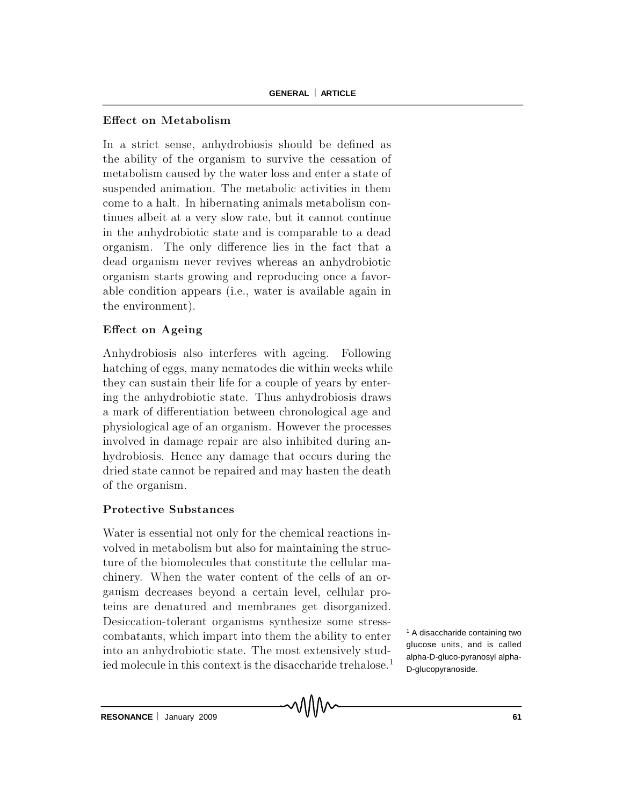# Effect on Metabolism

In a strict sense, anhydrobiosis should be defined as the ability of the organism to survive the cessation of metabolism caused by the water loss and enter a state of suspended animation. The metabolic activities in them come to a halt. In hibernating animals metabolism continues albeit at a very slow rate, but it cannot continue in the anhydrobiotic state and is comparable to a dead organism. The only difference lies in the fact that a dead organism never revives whereas an anhydrobiotic organism starts grow ing and reproducing once a favorable condition appears (i.e., water is available again in the environment).

# Effect on Ageing

Anhydrobiosis also interferes with ageing. Following hatching of eggs, many nematodes die within weeks while they can sustain their life for a couple of years by entering the anhydrobiotic state. Thus anhydrobiosis draws a mark of differentiation between chronological age and physiological age of an organism. However the processes involved in dam age repair are also inhibited during anhydrobiosis. Hence any damage that occurs during the dried state cannot be repaired and may hasten the death of the organism .

## Protective Substances

Water is essential not only for the chemical reactions involved in metabolism but also for maintaining the structure of the biomolecules that constitute the cellular machinery. When the water content of the cells of an organism decreases beyond a certain level, cellular proteins are denatured and membranes get disorganized. Desiccation-tolerant organisms synthesize some stresscombatants, which impart into them the ability to enter into an anhydrobiotic state. The most extensively studied molecule in this context is the disaccharide trehalose.<sup>1</sup>

<sup>1</sup> A disaccharide containing two glucose units, and is called alpha-D-gluco-pyranosyl alpha-D-glucopyranoside.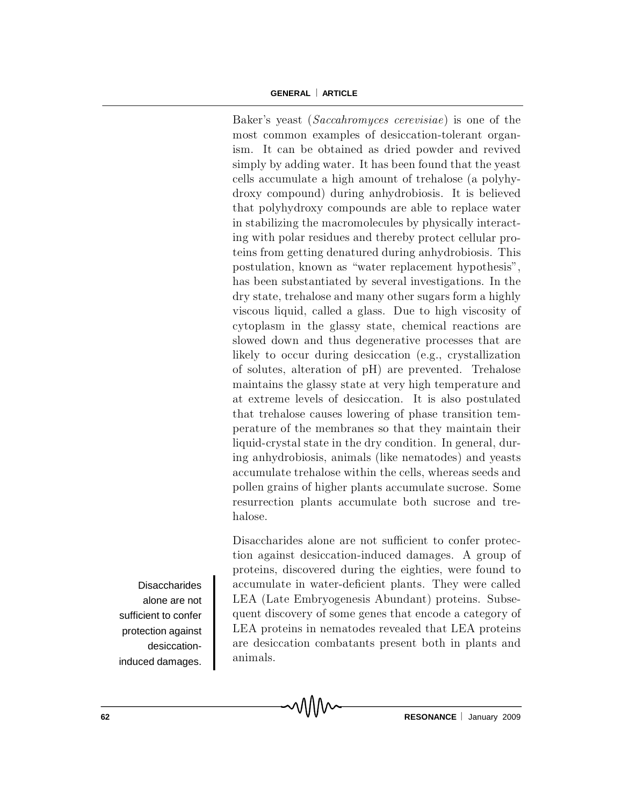#### **GENERAL ARTICLE**

Baker's yeast (Saccahromyces cerevisiae) is one of the most common examples of desiccation-tolerant organism. It can be obtained as dried powder and revived simply by adding water. It has been found that the yeast cells accumulate a high amount of trehalose (a polyhydroxy com pound) during anhydrobiosis. It is believed that polyhydroxy compounds are able to replace water in stabilizing the macromolecules by physically interacting with polar residues and thereby protect cellular proteins from getting denatured during anhydrobiosis. This postulation, known as "water replacement hypothesis", has been substantiated by several investigations. In the dry state, trehalose and many other sugars form a highly viscous liquid, called a glass. Due to high viscosity of cytoplasm in the glassy state, chemical reactions are slowed down and thus degenerative processes that are likely to occur during desiccation (e.g., crystallization of solutes, alteration of pH) are prevented. Trehalose maintains the glassy state at very high temperature and at extreme levels of desiccation. It is also postulated that trehalose causes lowering of phase transition temperature of the membranes so that they maintain their liquid-crystal state in the dry condition. In general, during anhydrobiosis, anim als (like nem atodes) and yeasts accumulate trehalose within the cells, whereas seeds and pollen grains of higher plants accumulate sucrose. Some resurrection plants accumulate both sucrose and trehalose.

Disaccharides alone are not sufficient to confer protection against desiccation-induced dam ages. A group of proteins, discovered during the eighties, were found to accumulate in water-deficient plants. They were called LEA (Late Embryogenesis Abundant) proteins. Subsequent discovery of some genes that encode a category of LEA proteins in nematodes revealed that LEA proteins are desiccation com batants present both in plants and anim als.

**Disaccharides** alone are not sufficient to confer protection against desiccationinduced damages.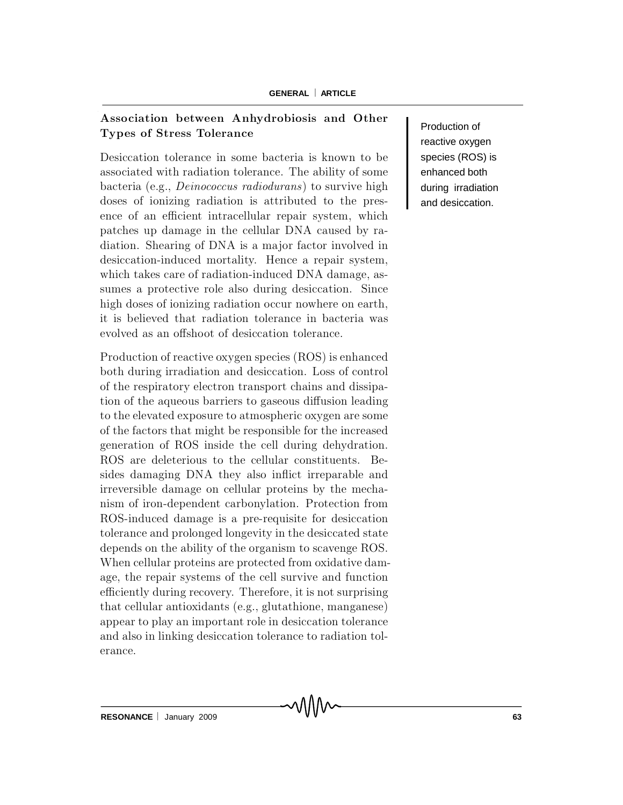# Association between Anhydrobiosis and Other Types of Stress Tolerance

Desiccation tolerance in some bacteria is known to be associated with radiation tolerance. The ability of some bacteria (e.g., *Deinococcus radiodurans*) to survive high doses of ionizing radiation is attributed to the presence of an efficient intracellular repair system, which patches up damage in the cellular DNA caused by radiation. Shearing of DNA is a major factor involved in desiccation-induced mortality. Hence a repair system, which takes care of radiation-induced DNA damage, assumes a protective role also during desiccation. Since high doses of ionizing radiation occur nowhere on earth, it is believed that radiation tolerance in bacteria was evolved as an offshoot of desiccation tolerance.

Production of reactive oxygen species (ROS) is enhanced both during irradiation and desiccation. Loss of control of the respiratory electron transport chains and dissipation of the aqueous barriers to gaseous diffusion leading to the elevated exposure to atmospheric oxygen are some of the factors that might be responsible for the increased generation of ROS inside the cell during dehydration. ROS are deleterious to the cellular constituents. Besides damaging DNA they also inflict irreparable and irreversible damage on cellular proteins by the mechanism of iron-dependent carbonylation. Protection from ROS-induced damage is a pre-requisite for desiccation tolerance and prolonged longevity in the desiccated state depends on the ability of the organism to scavenge ROS. When cellular proteins are protected from oxidative damage, the repair systems of the cell survive and function efficiently during recovery. Therefore, it is not surprising that cellular antioxidants (e.g., glutathione, manganese) appear to play an important role in desiccation tolerance and also in linking desiccation tolerance to radiation tolerance.

Production of reactive oxygen species (ROS) is enhanced both during irradiation and desiccation.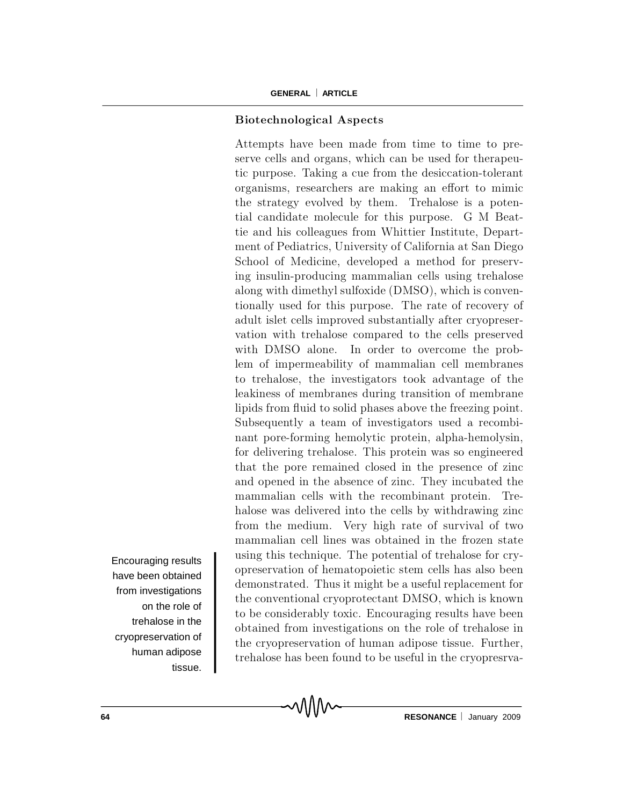## Biotechnological Aspects

Attempts have been made from time to time to preserve cells and organs, which can be used for the rapeutic purpose. Taking a cue from the desiccation-tolerant organisms, researchers are making an effort to mimic the strategy evolved by them. Trehalose is a potential candidate molecule for this purpose. G M Beattie and his colleagues from Whittier Institute, Department of Pediatrics, University of California at San Diego School of Medicine, developed a method for preserving insulin-producing mammalian cells using trehalose along with dimethyl sulfoxide (DMSO), which is conventionally used for this purpose. The rate of recovery of adult islet cells improved substantially after cryopreservation with trehalose compared to the cells preserved with DMSO alone. In order to overcome the problem of impermeability of mammalian cell membranes to trehalose, the investigators took advantage of the leakiness of membranes during transition of membrane lipids from fluid to solid phases above the freezing point. Subsequently a team of investigators used a recombinant pore-forming hemolytic protein, alpha-hemolysin, for delivering trehalose. This protein was so engineered that the pore remained closed in the presence of zinc and opened in the absence of zinc. They incubated the m am malian cells with the recombinant protein. Trehalose was delivered into the cells by withdrawing zinc from the medium. Very high rate of survival of two mammalian cell lines was obtained in the frozen state using this technique. The potential of trehalose for cryopreservation of hem atop oietic stem cells has also b een demonstrated. Thus it might be a useful replacement for the conventional cryoprotectant DMSO, which is known to be considerably toxic. Encouraging results have been obtained from investigations on the role of trehalose in the cryopreservation of human adipose tissue. Further, trehalose has been found to be useful in the cryopresrva-

Encouraging results have been obtained from investigations on the role of trehalose in the cryopreservation of human adipose tissue.